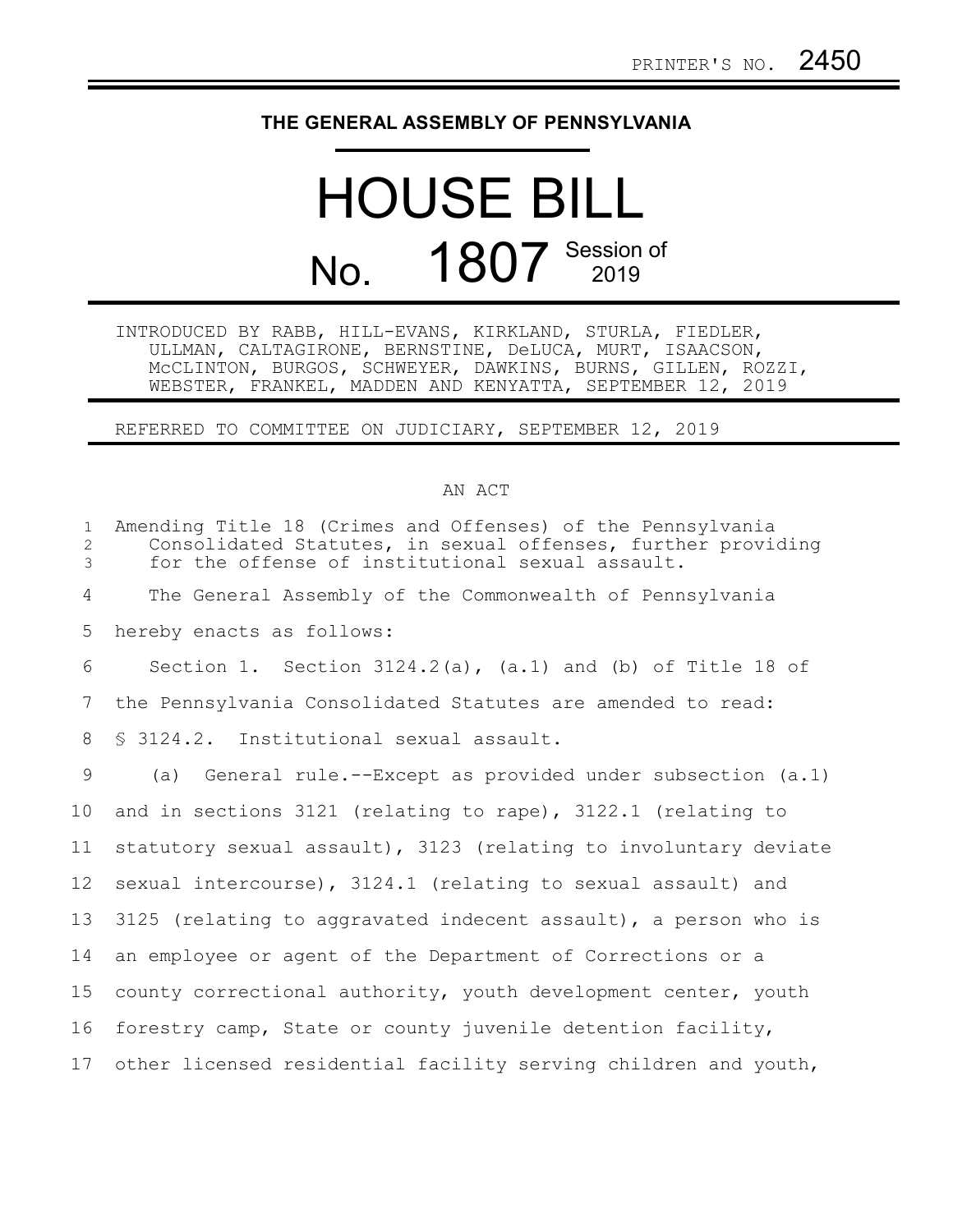## **THE GENERAL ASSEMBLY OF PENNSYLVANIA**

## HOUSE BILL No. 1807 Session of

INTRODUCED BY RABB, HILL-EVANS, KIRKLAND, STURLA, FIEDLER, ULLMAN, CALTAGIRONE, BERNSTINE, DeLUCA, MURT, ISAACSON, McCLINTON, BURGOS, SCHWEYER, DAWKINS, BURNS, GILLEN, ROZZI, WEBSTER, FRANKEL, MADDEN AND KENYATTA, SEPTEMBER 12, 2019

REFERRED TO COMMITTEE ON JUDICIARY, SEPTEMBER 12, 2019

## AN ACT

| $\mathbf{1}$<br>$\overline{2}$<br>$\mathfrak{Z}$ | Amending Title 18 (Crimes and Offenses) of the Pennsylvania<br>Consolidated Statutes, in sexual offenses, further providing<br>for the offense of institutional sexual assault. |
|--------------------------------------------------|---------------------------------------------------------------------------------------------------------------------------------------------------------------------------------|
| 4                                                | The General Assembly of the Commonwealth of Pennsylvania                                                                                                                        |
| 5                                                | hereby enacts as follows:                                                                                                                                                       |
| 6                                                | Section 1. Section $3124.2(a)$ , $(a.1)$ and $(b)$ of Title 18 of                                                                                                               |
| 7                                                | the Pennsylvania Consolidated Statutes are amended to read:                                                                                                                     |
| 8                                                | § 3124.2. Institutional sexual assault.                                                                                                                                         |
| 9                                                | (a) General rule.--Except as provided under subsection (a.1)                                                                                                                    |
| 10 <sup>°</sup>                                  | and in sections 3121 (relating to rape), 3122.1 (relating to                                                                                                                    |
| 11                                               | statutory sexual assault), 3123 (relating to involuntary deviate                                                                                                                |
| 12 <sup>°</sup>                                  | sexual intercourse), 3124.1 (relating to sexual assault) and                                                                                                                    |
| 13                                               | 3125 (relating to aggravated indecent assault), a person who is                                                                                                                 |
| 14                                               | an employee or agent of the Department of Corrections or a                                                                                                                      |
| 15                                               | county correctional authority, youth development center, youth                                                                                                                  |
| 16                                               | forestry camp, State or county juvenile detention facility,                                                                                                                     |
| 17                                               | other licensed residential facility serving children and youth,                                                                                                                 |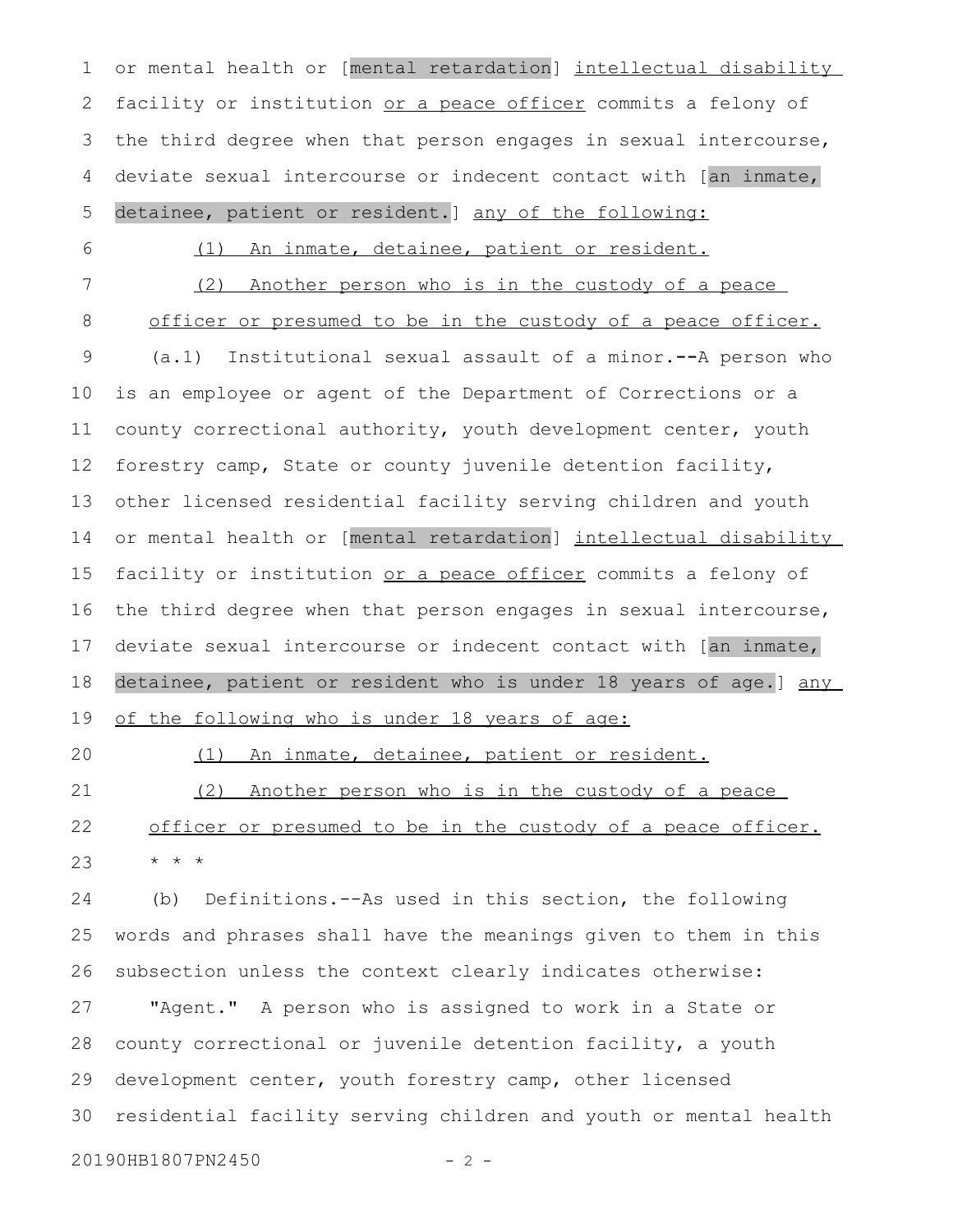or mental health or [mental retardation] intellectual disability facility or institution or a peace officer commits a felony of the third degree when that person engages in sexual intercourse, deviate sexual intercourse or indecent contact with [an inmate, detainee, patient or resident.] any of the following: 1 2 3 4 5

6

(1) An inmate, detainee, patient or resident.

(2) Another person who is in the custody of a peace officer or presumed to be in the custody of a peace officer. (a.1) Institutional sexual assault of a minor.**--**A person who is an employee or agent of the Department of Corrections or a county correctional authority, youth development center, youth forestry camp, State or county juvenile detention facility, other licensed residential facility serving children and youth or mental health or [mental retardation] intellectual disability facility or institution or a peace officer commits a felony of the third degree when that person engages in sexual intercourse, deviate sexual intercourse or indecent contact with [an inmate, detainee, patient or resident who is under 18 years of age.] any of the following who is under 18 years of age: 7 8 9 10 11 12 13 14 15 16 17 18 19

20

(1) An inmate, detainee, patient or resident.

(2) Another person who is in the custody of a peace officer or presumed to be in the custody of a peace officer. \* \* \* 21 22 23

(b) Definitions.--As used in this section, the following words and phrases shall have the meanings given to them in this subsection unless the context clearly indicates otherwise: "Agent." A person who is assigned to work in a State or county correctional or juvenile detention facility, a youth development center, youth forestry camp, other licensed residential facility serving children and youth or mental health 24 25 26 27 28 29 30

20190HB1807PN2450 - 2 -